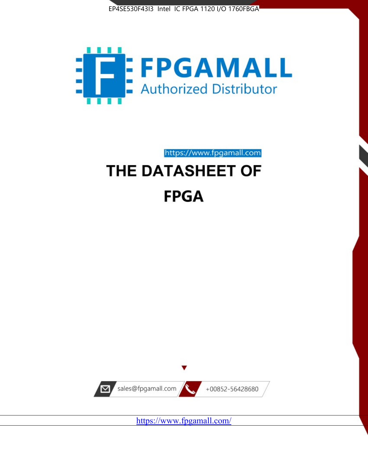



https://www.fpgamall.com

# THE DATASHEET OF **FPGA**



<https://www.fpgamall.com/>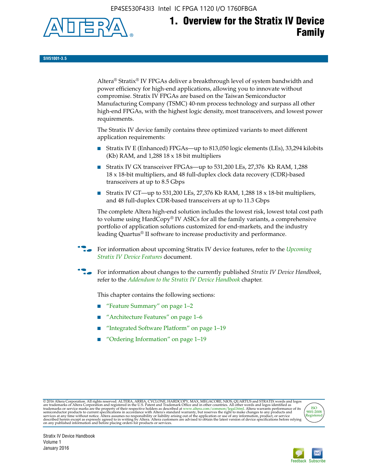EP4SE530F43I3 Intel IC FPGA 1120 I/O 1760FBGA



**SIV51001-3.5**

Altera® Stratix® IV FPGAs deliver a breakthrough level of system bandwidth and power efficiency for high-end applications, allowing you to innovate without compromise. Stratix IV FPGAs are based on the Taiwan Semiconductor Manufacturing Company (TSMC) 40-nm process technology and surpass all other high-end FPGAs, with the highest logic density, most transceivers, and lowest power requirements.

The Stratix IV device family contains three optimized variants to meet different application requirements:

- Stratix IV E (Enhanced) FPGAs—up to 813,050 logic elements (LEs), 33,294 kilobits (Kb) RAM, and 1,288 18 x 18 bit multipliers
- Stratix IV GX transceiver FPGAs—up to 531,200 LEs, 27,376 Kb RAM, 1,288 18 x 18-bit multipliers, and 48 full-duplex clock data recovery (CDR)-based transceivers at up to 8.5 Gbps
- Stratix IV GT—up to 531,200 LEs, 27,376 Kb RAM, 1,288 18 x 18-bit multipliers, and 48 full-duplex CDR-based transceivers at up to 11.3 Gbps

The complete Altera high-end solution includes the lowest risk, lowest total cost path to volume using HardCopy® IV ASICs for all the family variants, a comprehensive portfolio of application solutions customized for end-markets, and the industry leading Quartus® II software to increase productivity and performance.

For information about upcoming Stratix IV device features, refer to the *Upcoming [Stratix IV Device Features](http://www.altera.com/literature/hb/stratix-iv/uf01001.pdf?GSA_pos=2&WT.oss_r=1&WT.oss=upcoming)* document.

f For information about changes to the currently published *Stratix IV Device Handbook*, refer to the *[Addendum to the Stratix IV Device Handbook](http://www.altera.com/literature/hb/stratix-iv/stx4_siv54002.pdf)* chapter.

This chapter contains the following sections:

- "Feature Summary" on page 1–2
- "Architecture Features" on page 1–6
- "Integrated Software Platform" on page 1–19
- "Ordering Information" on page 1–19

@2016 Altera Corporation. All rights reserved. ALTERA, ARRIA, CYCLONE, HARDCOPY, MAX, MEGACORE, NIOS, QUARTUS and STRATIX words and logos are trademarks of Altera Corporation and registered in the U.S. Patent and Trademark



Stratix IV Device Handbook Volume 1 January 2016

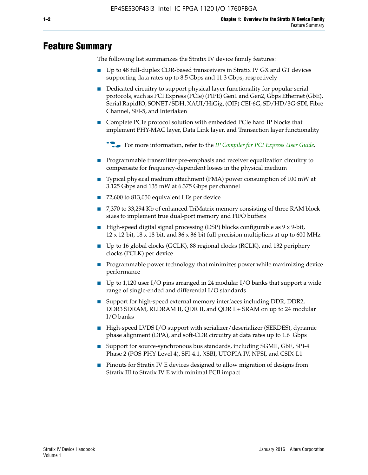# **Feature Summary**

The following list summarizes the Stratix IV device family features:

- Up to 48 full-duplex CDR-based transceivers in Stratix IV GX and GT devices supporting data rates up to 8.5 Gbps and 11.3 Gbps, respectively
- Dedicated circuitry to support physical layer functionality for popular serial protocols, such as PCI Express (PCIe) (PIPE) Gen1 and Gen2, Gbps Ethernet (GbE), Serial RapidIO, SONET/SDH, XAUI/HiGig, (OIF) CEI-6G, SD/HD/3G-SDI, Fibre Channel, SFI-5, and Interlaken
- Complete PCIe protocol solution with embedded PCIe hard IP blocks that implement PHY-MAC layer, Data Link layer, and Transaction layer functionality

**For more information, refer to the** *[IP Compiler for PCI Express User Guide](http://www.altera.com/literature/ug/ug_pci_express.pdf)***.** 

- Programmable transmitter pre-emphasis and receiver equalization circuitry to compensate for frequency-dependent losses in the physical medium
- Typical physical medium attachment (PMA) power consumption of 100 mW at 3.125 Gbps and 135 mW at 6.375 Gbps per channel
- 72,600 to 813,050 equivalent LEs per device
- 7,370 to 33,294 Kb of enhanced TriMatrix memory consisting of three RAM block sizes to implement true dual-port memory and FIFO buffers
- High-speed digital signal processing (DSP) blocks configurable as 9 x 9-bit,  $12 \times 12$ -bit,  $18 \times 18$ -bit, and  $36 \times 36$ -bit full-precision multipliers at up to 600 MHz
- Up to 16 global clocks (GCLK), 88 regional clocks (RCLK), and 132 periphery clocks (PCLK) per device
- Programmable power technology that minimizes power while maximizing device performance
- Up to 1,120 user I/O pins arranged in 24 modular I/O banks that support a wide range of single-ended and differential I/O standards
- Support for high-speed external memory interfaces including DDR, DDR2, DDR3 SDRAM, RLDRAM II, QDR II, and QDR II+ SRAM on up to 24 modular I/O banks
- High-speed LVDS I/O support with serializer/deserializer (SERDES), dynamic phase alignment (DPA), and soft-CDR circuitry at data rates up to 1.6 Gbps
- Support for source-synchronous bus standards, including SGMII, GbE, SPI-4 Phase 2 (POS-PHY Level 4), SFI-4.1, XSBI, UTOPIA IV, NPSI, and CSIX-L1
- Pinouts for Stratix IV E devices designed to allow migration of designs from Stratix III to Stratix IV E with minimal PCB impact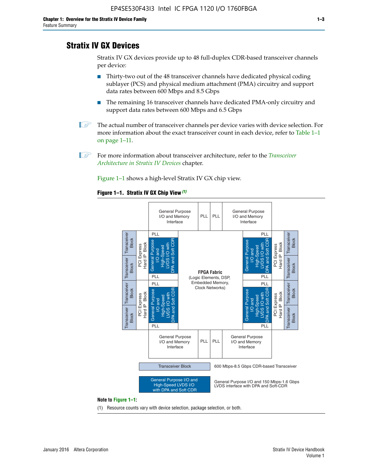# **Stratix IV GX Devices**

Stratix IV GX devices provide up to 48 full-duplex CDR-based transceiver channels per device:

- Thirty-two out of the 48 transceiver channels have dedicated physical coding sublayer (PCS) and physical medium attachment (PMA) circuitry and support data rates between 600 Mbps and 8.5 Gbps
- The remaining 16 transceiver channels have dedicated PMA-only circuitry and support data rates between 600 Mbps and 6.5 Gbps
- **1 The actual number of transceiver channels per device varies with device selection. For** more information about the exact transceiver count in each device, refer to Table 1–1 on page 1–11.
- 1 For more information about transceiver architecture, refer to the *[Transceiver](http://www.altera.com/literature/hb/stratix-iv/stx4_siv52001.pdf)  [Architecture in Stratix IV Devices](http://www.altera.com/literature/hb/stratix-iv/stx4_siv52001.pdf)* chapter.

Figure 1–1 shows a high-level Stratix IV GX chip view.

#### **Figure 1–1. Stratix IV GX Chip View** *(1)*



#### **Note to Figure 1–1:**

(1) Resource counts vary with device selection, package selection, or both.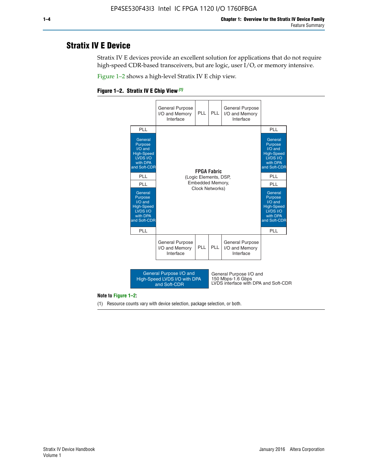# **Stratix IV E Device**

Stratix IV E devices provide an excellent solution for applications that do not require high-speed CDR-based transceivers, but are logic, user I/O, or memory intensive.

Figure 1–2 shows a high-level Stratix IV E chip view.

#### **Figure 1–2. Stratix IV E Chip View** *(1)*



#### **Note to Figure 1–2:**

(1) Resource counts vary with device selection, package selection, or both.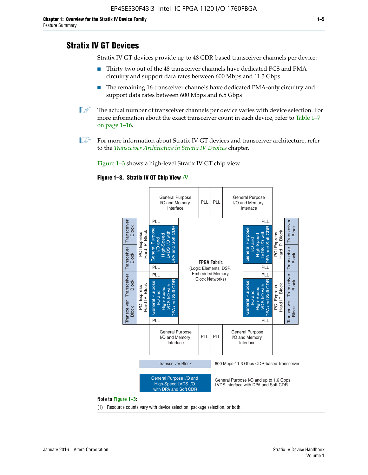# **Stratix IV GT Devices**

Stratix IV GT devices provide up to 48 CDR-based transceiver channels per device:

- Thirty-two out of the 48 transceiver channels have dedicated PCS and PMA circuitry and support data rates between 600 Mbps and 11.3 Gbps
- The remaining 16 transceiver channels have dedicated PMA-only circuitry and support data rates between 600 Mbps and 6.5 Gbps
- **1** The actual number of transceiver channels per device varies with device selection. For more information about the exact transceiver count in each device, refer to Table 1–7 on page 1–16.
- $\mathbb{I}$  For more information about Stratix IV GT devices and transceiver architecture, refer to the *[Transceiver Architecture in Stratix IV Devices](http://www.altera.com/literature/hb/stratix-iv/stx4_siv52001.pdf)* chapter.

Figure 1–3 shows a high-level Stratix IV GT chip view.





(1) Resource counts vary with device selection, package selection, or both.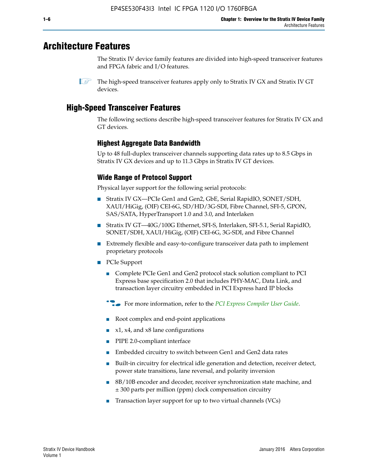# **Architecture Features**

The Stratix IV device family features are divided into high-speed transceiver features and FPGA fabric and I/O features.

# **High-Speed Transceiver Features**

The following sections describe high-speed transceiver features for Stratix IV GX and GT devices.

# **Highest Aggregate Data Bandwidth**

Up to 48 full-duplex transceiver channels supporting data rates up to 8.5 Gbps in Stratix IV GX devices and up to 11.3 Gbps in Stratix IV GT devices.

# **Wide Range of Protocol Support**

Physical layer support for the following serial protocols:

- Stratix IV GX—PCIe Gen1 and Gen2, GbE, Serial RapidIO, SONET/SDH, XAUI/HiGig, (OIF) CEI-6G, SD/HD/3G-SDI, Fibre Channel, SFI-5, GPON, SAS/SATA, HyperTransport 1.0 and 3.0, and Interlaken
- Stratix IV GT—40G/100G Ethernet, SFI-S, Interlaken, SFI-5.1, Serial RapidIO, SONET/SDH, XAUI/HiGig, (OIF) CEI-6G, 3G-SDI, and Fibre Channel
- Extremely flexible and easy-to-configure transceiver data path to implement proprietary protocols
- PCIe Support
	- Complete PCIe Gen1 and Gen2 protocol stack solution compliant to PCI Express base specification 2.0 that includes PHY-MAC, Data Link, and transaction layer circuitry embedded in PCI Express hard IP blocks
	- **For more information, refer to the [PCI Express Compiler User Guide](http://www.altera.com/literature/ug/ug_pci_express.pdf).**
	- Root complex and end-point applications
	- $x1, x4,$  and  $x8$  lane configurations
	- PIPE 2.0-compliant interface
	- Embedded circuitry to switch between Gen1 and Gen2 data rates
	- Built-in circuitry for electrical idle generation and detection, receiver detect, power state transitions, lane reversal, and polarity inversion
	- 8B/10B encoder and decoder, receiver synchronization state machine, and ± 300 parts per million (ppm) clock compensation circuitry
	- Transaction layer support for up to two virtual channels (VCs)

 $\mathbb{I}$  The high-speed transceiver features apply only to Stratix IV GX and Stratix IV GT devices.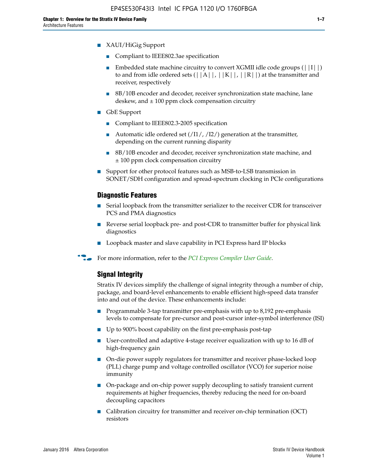- XAUI/HiGig Support
	- Compliant to IEEE802.3ae specification
	- **■** Embedded state machine circuitry to convert XGMII idle code groups  $(|11|)$ to and from idle ordered sets  $(|A|, |K|, |R|)$  at the transmitter and receiver, respectively
	- 8B/10B encoder and decoder, receiver synchronization state machine, lane deskew, and  $\pm 100$  ppm clock compensation circuitry
- GbE Support
	- Compliant to IEEE802.3-2005 specification
	- Automatic idle ordered set  $(111/112/1)$  generation at the transmitter, depending on the current running disparity
	- 8B/10B encoder and decoder, receiver synchronization state machine, and ± 100 ppm clock compensation circuitry
- Support for other protocol features such as MSB-to-LSB transmission in SONET/SDH configuration and spread-spectrum clocking in PCIe configurations

#### **Diagnostic Features**

- Serial loopback from the transmitter serializer to the receiver CDR for transceiver PCS and PMA diagnostics
- Reverse serial loopback pre- and post-CDR to transmitter buffer for physical link diagnostics
- Loopback master and slave capability in PCI Express hard IP blocks
- **For more information, refer to the** *[PCI Express Compiler User Guide](http://www.altera.com/literature/ug/ug_pci_express.pdf)***.**

## **Signal Integrity**

Stratix IV devices simplify the challenge of signal integrity through a number of chip, package, and board-level enhancements to enable efficient high-speed data transfer into and out of the device. These enhancements include:

- Programmable 3-tap transmitter pre-emphasis with up to 8,192 pre-emphasis levels to compensate for pre-cursor and post-cursor inter-symbol interference (ISI)
- Up to 900% boost capability on the first pre-emphasis post-tap
- User-controlled and adaptive 4-stage receiver equalization with up to 16 dB of high-frequency gain
- On-die power supply regulators for transmitter and receiver phase-locked loop (PLL) charge pump and voltage controlled oscillator (VCO) for superior noise immunity
- On-package and on-chip power supply decoupling to satisfy transient current requirements at higher frequencies, thereby reducing the need for on-board decoupling capacitors
- Calibration circuitry for transmitter and receiver on-chip termination (OCT) resistors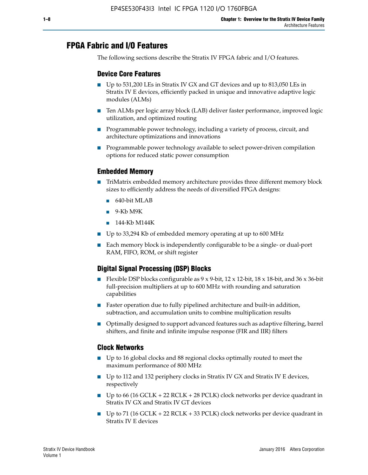# **FPGA Fabric and I/O Features**

The following sections describe the Stratix IV FPGA fabric and I/O features.

## **Device Core Features**

- Up to 531,200 LEs in Stratix IV GX and GT devices and up to 813,050 LEs in Stratix IV E devices, efficiently packed in unique and innovative adaptive logic modules (ALMs)
- Ten ALMs per logic array block (LAB) deliver faster performance, improved logic utilization, and optimized routing
- Programmable power technology, including a variety of process, circuit, and architecture optimizations and innovations
- Programmable power technology available to select power-driven compilation options for reduced static power consumption

#### **Embedded Memory**

- TriMatrix embedded memory architecture provides three different memory block sizes to efficiently address the needs of diversified FPGA designs:
	- 640-bit MLAB
	- 9-Kb M9K
	- 144-Kb M144K
- Up to 33,294 Kb of embedded memory operating at up to 600 MHz
- Each memory block is independently configurable to be a single- or dual-port RAM, FIFO, ROM, or shift register

## **Digital Signal Processing (DSP) Blocks**

- Flexible DSP blocks configurable as  $9 \times 9$ -bit,  $12 \times 12$ -bit,  $18 \times 18$ -bit, and  $36 \times 36$ -bit full-precision multipliers at up to 600 MHz with rounding and saturation capabilities
- Faster operation due to fully pipelined architecture and built-in addition, subtraction, and accumulation units to combine multiplication results
- Optimally designed to support advanced features such as adaptive filtering, barrel shifters, and finite and infinite impulse response (FIR and IIR) filters

#### **Clock Networks**

- Up to 16 global clocks and 88 regional clocks optimally routed to meet the maximum performance of 800 MHz
- Up to 112 and 132 periphery clocks in Stratix IV GX and Stratix IV E devices, respectively
- Up to 66 (16 GCLK + 22 RCLK + 28 PCLK) clock networks per device quadrant in Stratix IV GX and Stratix IV GT devices
- Up to 71 (16 GCLK + 22 RCLK + 33 PCLK) clock networks per device quadrant in Stratix IV E devices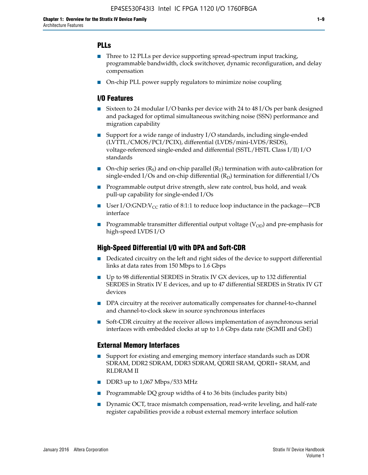## **PLLs**

- Three to 12 PLLs per device supporting spread-spectrum input tracking, programmable bandwidth, clock switchover, dynamic reconfiguration, and delay compensation
- On-chip PLL power supply regulators to minimize noise coupling

### **I/O Features**

- Sixteen to 24 modular I/O banks per device with 24 to 48 I/Os per bank designed and packaged for optimal simultaneous switching noise (SSN) performance and migration capability
- Support for a wide range of industry I/O standards, including single-ended (LVTTL/CMOS/PCI/PCIX), differential (LVDS/mini-LVDS/RSDS), voltage-referenced single-ended and differential (SSTL/HSTL Class I/II) I/O standards
- **O**n-chip series  $(R_S)$  and on-chip parallel  $(R_T)$  termination with auto-calibration for single-ended I/Os and on-chip differential  $(R_D)$  termination for differential I/Os
- Programmable output drive strength, slew rate control, bus hold, and weak pull-up capability for single-ended I/Os
- User I/O:GND: $V_{CC}$  ratio of 8:1:1 to reduce loop inductance in the package—PCB interface
- **■** Programmable transmitter differential output voltage ( $V_{OD}$ ) and pre-emphasis for high-speed LVDS I/O

#### **High-Speed Differential I/O with DPA and Soft-CDR**

- Dedicated circuitry on the left and right sides of the device to support differential links at data rates from 150 Mbps to 1.6 Gbps
- Up to 98 differential SERDES in Stratix IV GX devices, up to 132 differential SERDES in Stratix IV E devices, and up to 47 differential SERDES in Stratix IV GT devices
- DPA circuitry at the receiver automatically compensates for channel-to-channel and channel-to-clock skew in source synchronous interfaces
- Soft-CDR circuitry at the receiver allows implementation of asynchronous serial interfaces with embedded clocks at up to 1.6 Gbps data rate (SGMII and GbE)

#### **External Memory Interfaces**

- Support for existing and emerging memory interface standards such as DDR SDRAM, DDR2 SDRAM, DDR3 SDRAM, QDRII SRAM, QDRII+ SRAM, and RLDRAM II
- DDR3 up to 1,067 Mbps/533 MHz
- Programmable DQ group widths of 4 to 36 bits (includes parity bits)
- Dynamic OCT, trace mismatch compensation, read-write leveling, and half-rate register capabilities provide a robust external memory interface solution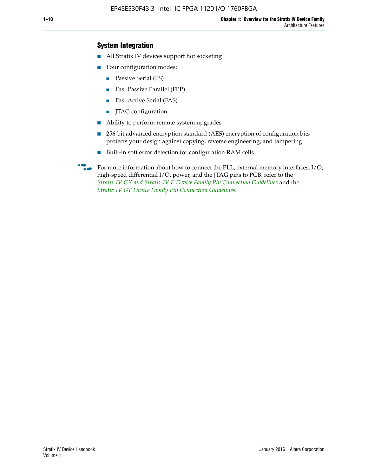## **System Integration**

- All Stratix IV devices support hot socketing
- Four configuration modes:
	- Passive Serial (PS)
	- Fast Passive Parallel (FPP)
	- Fast Active Serial (FAS)
	- JTAG configuration
- Ability to perform remote system upgrades
- 256-bit advanced encryption standard (AES) encryption of configuration bits protects your design against copying, reverse engineering, and tampering
- Built-in soft error detection for configuration RAM cells
- For more information about how to connect the PLL, external memory interfaces,  $I/O$ , high-speed differential I/O, power, and the JTAG pins to PCB, refer to the *[Stratix IV GX and Stratix IV E Device Family Pin Connection Guidelines](http://www.altera.com/literature/dp/stratix4/PCG-01005.pdf)* and the *[Stratix IV GT Device Family Pin Connection Guidelines](http://www.altera.com/literature/dp/stratix4/PCG-01006.pdf)*.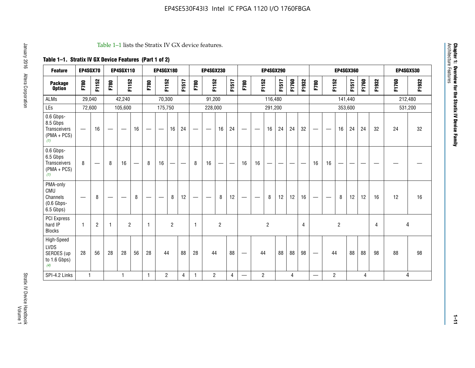#### Table 1–1 lists the Stratix IV GX device features.

# **Table 1–1. Stratix IV GX Device Features (Part 1 of 2)**

| <b>Feature</b>                                                | EP4SGX70                       |                |                   | <b>EP4SGX110</b>  |                          |                                | <b>EP4SGX180</b>               |                |       |              | <b>EP4SGX230</b>              |                |                               |                                |                | <b>EP4SGX290</b> |       |       |       |                          |                   |                | <b>EP4SGX360</b> |       | <b>EP4SGX530</b> |       |         |
|---------------------------------------------------------------|--------------------------------|----------------|-------------------|-------------------|--------------------------|--------------------------------|--------------------------------|----------------|-------|--------------|-------------------------------|----------------|-------------------------------|--------------------------------|----------------|------------------|-------|-------|-------|--------------------------|-------------------|----------------|------------------|-------|------------------|-------|---------|
| <b>Package</b><br><b>Option</b>                               | F780                           | F1152          | F780              | F1152             |                          | F780                           | F1152                          |                | F1517 | F780         | F1152                         |                | F1517                         | F780                           | F1152          |                  | F1517 | F1760 | F1932 | F780                     | F1152             |                | F1517            | F1760 | F1932            | F1760 | F1932   |
| <b>ALMs</b>                                                   | 29,040                         |                |                   | 42,240            |                          |                                | 70,300                         |                |       |              | 91,200                        |                |                               |                                |                | 116,480          |       |       |       |                          |                   |                | 141,440          |       |                  |       | 212,480 |
| LEs                                                           | 72,600                         |                |                   | 105,600           |                          |                                | 175,750                        |                |       |              | 228,000                       |                |                               |                                |                | 291,200          |       |       |       |                          |                   | 353,600        |                  |       |                  |       | 531,200 |
| 0.6 Gbps-<br>8.5 Gbps<br>Transceivers<br>$(PMA + PCs)$<br>(1) |                                | 16             | $\hspace{0.05cm}$ | $\hspace{0.05cm}$ | 16                       | $\qquad \qquad \longleftarrow$ | $\hspace{0.05cm}$              | 16             | 24    |              | $\overbrace{\phantom{aaaaa}}$ | 16             | 24                            | —                              |                | 16               | 24    | 24    | 32    | $\overline{\phantom{0}}$ | $\hspace{0.05cm}$ | 16             | 24               | 24    | 32               | 24    | 32      |
| 0.6 Gbps-<br>6.5 Gbps<br>Transceivers<br>$(PMA + PCS)$<br>(1) | 8                              |                | 8                 | 16                | $\overline{\phantom{0}}$ | 8                              | 16                             | -              | —     | 8            | 16                            | —              | $\overbrace{\phantom{aaaaa}}$ | 16                             | 16             |                  |       |       |       | 16                       | 16                |                |                  |       |                  |       |         |
| PMA-only<br>CMU<br>Channels<br>$(0.6$ Gbps-<br>6.5 Gbps)      | $\qquad \qquad \longleftarrow$ | 8              | $\hspace{0.05cm}$ |                   | 8                        | $\qquad \qquad \longleftarrow$ | $\qquad \qquad \longleftarrow$ | 8              | 12    | -            | $\overline{\phantom{a}}$      | 8              | 12                            | $\qquad \qquad \longleftarrow$ |                | 8                | 12    | 12    | 16    |                          | $\hspace{0.05cm}$ | 8              | 12               | 12    | 16               | 12    | 16      |
| <b>PCI Express</b><br>hard IP<br><b>Blocks</b>                | $\mathbf{1}$                   | $\overline{2}$ | -1                | $\overline{2}$    |                          | 1                              |                                | $\overline{2}$ |       | $\mathbf{1}$ |                               | $\overline{c}$ |                               |                                |                | $\overline{c}$   |       |       | 4     |                          |                   | $\overline{2}$ |                  |       | 4                |       | 4       |
| High-Speed<br>LVDS<br>SERDES (up<br>to 1.6 Gbps)<br>(4)       | 28                             | 56             | 28                | 28                | 56                       | 28                             | 44                             |                | 88    | 28           | 44                            |                | 88                            | —                              | 44             |                  | 88    | 88    | 98    |                          | 44                |                | 88               | 88    | 98               | 88    | 98      |
| SPI-4.2 Links                                                 | $\mathbf{1}$                   |                |                   | 1                 |                          | $\mathbf{1}$                   | $\overline{c}$                 |                | 4     | $\mathbf{1}$ | $\overline{c}$                |                | $\overline{4}$                | —                              | $\overline{2}$ |                  |       | 4     |       | $\overline{\phantom{0}}$ | $\overline{2}$    |                |                  | 4     |                  |       | 4       |

**Chapter 1: Overview for the Stratix IV Device Family**

Chapter 1: Overview for the Stratix IV Device Family<br>Architecture Features

Architecture Features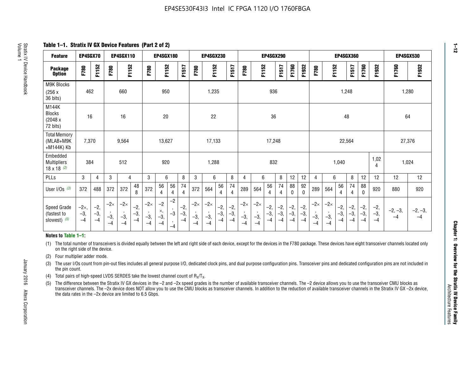**Table 1–1. Stratix IV GX Device Features (Part 2 of 2)**

| <b>Feature</b>                                  | EP4SGX70                |                        |                             | <b>EP4SGX110</b>            |                        |                                        | EP4SGX180                   |                                            |                        |                             | <b>EP4SGX230</b>            |                        |                      |                             |                             |                        | <b>EP4SGX290</b>     |                        |                        |                             |                             |                        | EP4SGX360            |                        |                        | EP4SGX530         |                   |
|-------------------------------------------------|-------------------------|------------------------|-----------------------------|-----------------------------|------------------------|----------------------------------------|-----------------------------|--------------------------------------------|------------------------|-----------------------------|-----------------------------|------------------------|----------------------|-----------------------------|-----------------------------|------------------------|----------------------|------------------------|------------------------|-----------------------------|-----------------------------|------------------------|----------------------|------------------------|------------------------|-------------------|-------------------|
| <b>Package</b><br><b>Option</b>                 | F780                    | F1152                  | F780                        | F1152                       |                        | F780                                   | F1152                       |                                            | F1517                  | F780                        | F1152                       |                        | F1517                | F780                        | F1152                       |                        | F1517                | F1760                  | F1932                  | F780                        | F1152                       |                        | F1517                | F1760                  | F1932                  | F1760             | F1932             |
| <b>M9K Blocks</b><br>(256x)<br>36 bits)         | 462                     |                        |                             | 660                         |                        |                                        | 950                         |                                            |                        |                             | 1,235                       |                        |                      |                             |                             | 936                    |                      |                        |                        |                             |                             | 1,248                  |                      |                        |                        | 1,280             |                   |
| M144K<br><b>Blocks</b><br>(2048 x<br>72 bits)   | 16                      |                        |                             | 16                          |                        |                                        | 20                          |                                            |                        |                             | 22                          |                        |                      |                             |                             | 36                     |                      |                        |                        |                             |                             | 48                     |                      |                        |                        | 64                |                   |
| <b>Total Memory</b><br>(MLAB+M9K<br>+M144K) Kb  | 7,370                   |                        |                             | 9,564                       |                        |                                        | 13,627                      |                                            |                        |                             | 17,133                      |                        |                      |                             |                             | 17,248                 |                      |                        |                        |                             |                             | 22,564                 |                      |                        |                        | 27,376            |                   |
| Embedded<br><b>Multipliers</b><br>18 x 18 $(2)$ | 384                     |                        |                             | 512                         |                        |                                        | 920                         |                                            |                        |                             | 1,288                       |                        |                      |                             |                             | 832                    |                      |                        |                        |                             |                             | 1,040                  |                      |                        | 1,02<br>4              | 1,024             |                   |
| PLLs                                            | 3                       | 4                      | 3                           | 4                           |                        | 3                                      | 6                           |                                            | 8                      | 3                           | 6                           |                        | 8                    | 4                           | 6                           |                        | 8                    | 12                     | 12                     | 4                           | 6                           |                        | 8                    | 12                     | 12                     | 12                | 12                |
| User I/Os $(3)$                                 | 372                     | 488                    | 372                         | 372                         | 48<br>8                | 372                                    | 56<br>4                     | 56<br>4                                    | 74<br>4                | 372                         | 564                         | 56<br>4                | 74<br>$\overline{4}$ | 289                         | 564                         | 56<br>4                | 74<br>4              | 88<br>0                | 92<br>$\mathbf 0$      | 289                         | 564                         | 56<br>4                | 74<br>4              | 88<br>0                | 920                    | 880               | 920               |
| Speed Grade<br>(fastest to<br>slowest) (5)      | $-2x,$<br>$-3,$<br>$-4$ | $-2,$<br>$-3,$<br>$-4$ | $-2\times$<br>$-3,$<br>$-4$ | $-2\times$<br>$-3,$<br>$-4$ | $-2,$<br>$-3,$<br>$-4$ | $-2\times$<br>$\cdot$<br>$-3,$<br>$-4$ | $-2$<br>×,<br>$-3,$<br>$-4$ | $-2$<br>$\cdot$<br>$-3$<br>$\cdot$<br>$-4$ | $-2,$<br>$-3,$<br>$-4$ | $-2\times$<br>$-3,$<br>$-4$ | $-2\times$<br>$-3,$<br>$-4$ | $-2,$<br>$-3,$<br>$-4$ | $-2,$<br>-3,<br>$-4$ | $-2\times$<br>$-3,$<br>$-4$ | $-2\times$<br>$-3,$<br>$-4$ | $-2,$<br>$-3,$<br>$-4$ | $-2,$<br>-3,<br>$-4$ | $-2,$<br>$-3,$<br>$-4$ | $-2,$<br>$-3,$<br>$-4$ | $-2\times$<br>$-3,$<br>$-4$ | $-2\times$<br>$-3,$<br>$-4$ | $-2,$<br>$-3,$<br>$-4$ | $-2,$<br>-3,<br>$-4$ | $-2,$<br>$-3,$<br>$-4$ | $-2,$<br>$-3,$<br>$-4$ | $-2, -3,$<br>$-4$ | $-2, -3,$<br>$-4$ |

#### **Notes to Table 1–1:**

(1) The total number of transceivers is divided equally between the left and right side of each device, except for the devices in the F780 package. These devices have eight transceiver channels located only on the right side of the device.

- (2) Four multiplier adder mode.
- (3) The user I/Os count from pin-out files includes all general purpose I/O, dedicated clock pins, and dual purpose configuration pins. Transceiver pins and dedicated configuration pins are not included in the pin count.
- (4) Total pairs of high-speed LVDS SERDES take the lowest channel count of  $R_X/T_X$ .
- (5) The difference between the Stratix IV GX devices in the –2 and –2x speed grades is the number of available transceiver channels. The –2 device allows you to use the transceiver CMU blocks as transceiver channels. The –2x device does NOT allow you to use the CMU blocks as transceiver channels. In addition to the reduction of available transceiver channels in the Stratix IV GX –2x device, the data rates in the –2x device are limited to 6.5 Gbps.

January 2016 Altera Corporation

Altera Corporation

January 2016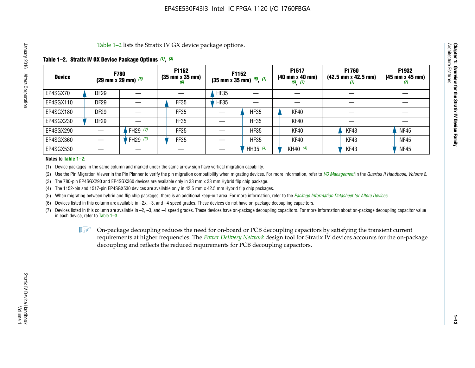Table 1–2 lists the Stratix IV GX device package options.

#### **Table 1–2. Stratix IV GX Device Package Options** *(1)***,** *(2)*

| <b>Device</b> |                  | <b>F780</b><br>(29 mm x 29 mm) $(6)$ | F1152<br>$(35 \, \text{mm} \times 35 \, \text{mm})$<br>(6) |             | <b>F1152</b><br>$(35 \text{ mm} \times 35 \text{ mm})$ $(5)$ , $(7)$ | F1517<br>(40 mm x 40 mm)<br>$(5)$ $(7)$ | <b>F1760</b><br>$(42.5 \text{ mm} \times 42.5 \text{ mm})$<br>Ø | F1932<br>$(45 \, \text{mm} \times 45 \, \text{mm})$<br>(7) |
|---------------|------------------|--------------------------------------|------------------------------------------------------------|-------------|----------------------------------------------------------------------|-----------------------------------------|-----------------------------------------------------------------|------------------------------------------------------------|
| EP4SGX70      | <b>DF29</b>      |                                      |                                                            | <b>HF35</b> |                                                                      |                                         |                                                                 |                                                            |
| EP4SGX110     | DF <sub>29</sub> |                                      | FF35                                                       | <b>HF35</b> |                                                                      |                                         |                                                                 |                                                            |
| EP4SGX180     | DF <sub>29</sub> |                                      | FF35                                                       |             | <b>HF35</b>                                                          | KF40                                    |                                                                 |                                                            |
| EP4SGX230     | DF <sub>29</sub> |                                      | FF35                                                       |             | <b>HF35</b>                                                          | KF40                                    |                                                                 |                                                            |
| EP4SGX290     |                  | FH29 $(3)$                           | FF35                                                       |             | <b>HF35</b>                                                          | KF40                                    | KF43                                                            | <b>NF45</b>                                                |
| EP4SGX360     |                  | FH29 (3)                             | FF35                                                       |             | <b>HF35</b>                                                          | KF40                                    | KF43                                                            | <b>NF45</b>                                                |
| EP4SGX530     |                  |                                      |                                                            |             | HH35 $(4)$                                                           | KH40 (4)                                | KF43                                                            | <b>NF45</b>                                                |

#### **Notes to Table 1–2:**

(1) Device packages in the same column and marked under the same arrow sign have vertical migration capability.

(2) Use the Pin Migration Viewer in the Pin Planner to verify the pin migration compatibility when migrating devices. For more information, refer to *[I/O Management](http://www.altera.com/literature/hb/qts/qts_qii52013.pdf)* in the *Quartus II Handbook, Volume 2*.

(3) The 780-pin EP4SGX290 and EP4SGX360 devices are available only in 33 mm x 33 mm Hybrid flip chip package.

(4) The 1152-pin and 1517-pin EP4SGX530 devices are available only in 42.5 mm x 42.5 mm Hybrid flip chip packages.

(5) When migrating between hybrid and flip chip packages, there is an additional keep-out area. For more information, refer to the *[Package Information Datasheet for Altera Devices](http://www.altera.com/literature/ds/dspkg.pdf)*.

(6) Devices listed in this column are available in –2x, –3, and –4 speed grades. These devices do not have on-package decoupling capacitors.

(7) Devices listed in this column are available in –2, –3, and –4 speed grades. These devices have on-package decoupling capacitors. For more information about on-package decoupling capacitor value in each device, refer to Table 1–3.

 $\mathbb{L}$ s On-package decoupling reduces the need for on-board or PCB decoupling capacitors by satisfying the transient current requirements at higher frequencies. The *[Power Delivery Network](http://www.altera.com/literature/ug/pdn_tool_stxiv.zip)* design tool for Stratix IV devices accounts for the on-package decoupling and reflects the reduced requirements for PCB decoupling capacitors.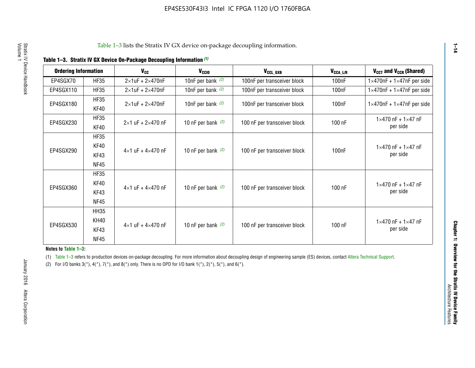|  |  | Table 1-3. Stratix IV GX Device On-Package Decoupling Information (1) |  |  |
|--|--|-----------------------------------------------------------------------|--|--|
|--|--|-----------------------------------------------------------------------|--|--|

| <b>Ordering Information</b> |                     | <b>V<sub>cc</sub></b>               | V <sub>ccio</sub>    | V <sub>CCL GXB</sub>         | V <sub>CCA_L/R</sub> | V <sub>CCT</sub> and V <sub>CCR</sub> (Shared)   |
|-----------------------------|---------------------|-------------------------------------|----------------------|------------------------------|----------------------|--------------------------------------------------|
| EP4SGX70                    | <b>HF35</b>         | $2\times1$ uF + $2\times470$ nF     | 10nF per bank $(2)$  | 100nF per transceiver block  | 100 <sub>n</sub> F   | $1 \times 470$ nF + $1 \times 47$ nF per side    |
| EP4SGX110                   | <b>HF35</b>         | $2\times1$ uF + $2\times470$ nF     | 10nF per bank $(2)$  | 100nF per transceiver block  | 100 <sub>n</sub> F   | $1\times470$ nF + $1\times47$ nF per side        |
| EP4SGX180                   | <b>HF35</b><br>KF40 | $2\times1$ uF + $2\times470$ nF     | 10nF per bank $(2)$  | 100nF per transceiver block  | 100 <sub>n</sub> F   | $1 \times 470$ nF + $1 \times 47$ nF per side    |
| EP4SGX230                   | <b>HF35</b><br>KF40 | $2 \times 1$ uF + $2 \times 470$ nF | 10 nF per bank $(2)$ | 100 nF per transceiver block | 100 nF               | $1 \times 470$ nF + $1 \times 47$ nF<br>per side |
|                             | <b>HF35</b><br>KF40 |                                     |                      |                              |                      | $1 \times 470$ nF + $1 \times 47$ nF             |
| EP4SGX290                   | KF43<br><b>NF45</b> | $4 \times 1$ uF + $4 \times 470$ nF | 10 nF per bank $(2)$ | 100 nF per transceiver block | 100nF                | per side                                         |
|                             | <b>HF35</b><br>KF40 |                                     |                      |                              |                      | $1 \times 470$ nF + $1 \times 47$ nF             |
| EP4SGX360                   | KF43<br><b>NF45</b> | $4 \times 1$ uF + $4 \times 470$ nF | 10 nF per bank $(2)$ | 100 nF per transceiver block | 100 nF               | per side                                         |
|                             | <b>HH35</b>         |                                     |                      |                              |                      |                                                  |
| EP4SGX530                   | <b>KH40</b><br>KF43 | $4 \times 1$ uF + $4 \times 470$ nF | 10 nF per bank $(2)$ | 100 nF per transceiver block | 100 nF               | $1 \times 470$ nF + $1 \times 47$ nF<br>per side |
|                             | <b>NF45</b>         |                                     |                      |                              |                      |                                                  |

**Notes to Table 1–3:**

(1) Table 1-3 refers to production devices on-package decoupling. For more information about decoupling design of engineering sample (ES) devices, contact [Altera Technical Support](http://mysupport.altera.com/eservice/login.asp).

(2) For I/O banks  $3(*)$ ,  $4(*)$ ,  $7(*)$ , and  $8(*)$  only. There is no OPD for I/O bank  $1(*)$ ,  $2(*)$ ,  $5(*)$ , and  $6(*)$ .

**1–14**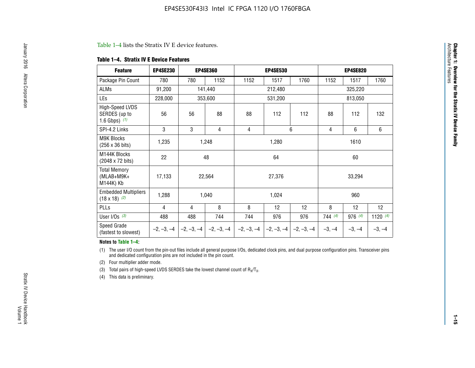#### Table 1–4 lists the Stratix IV E device features.

#### **Table 1–4. Stratix IV E Device Features**

| <b>Feature</b>                                      | <b>EP4SE230</b> |     | <b>EP4SE360</b>                          |              | <b>EP4SE530</b> |              |          | <b>EP4SE820</b> |            |
|-----------------------------------------------------|-----------------|-----|------------------------------------------|--------------|-----------------|--------------|----------|-----------------|------------|
| Package Pin Count                                   | 780             | 780 | 1152                                     | 1152         | 1517            | 1760         | 1152     | 1517            | 1760       |
| <b>ALMs</b>                                         | 91,200          |     | 141,440                                  |              | 212,480         |              |          | 325,220         |            |
| <b>LEs</b>                                          | 228,000         |     | 353,600                                  |              | 531,200         |              |          | 813,050         |            |
| High-Speed LVDS<br>SERDES (up to<br>1.6 Gbps) $(1)$ | 56              | 56  | 88                                       | 88           | 112             | 112          | 88       | 112             | 132        |
| SPI-4.2 Links                                       | 3               | 3   | 4                                        | 4            |                 | 6            | 4        | 6               | 6          |
| <b>M9K Blocks</b><br>(256 x 36 bits)                | 1,235           |     | 1,248                                    |              | 1,280           |              |          | 1610            |            |
| M144K Blocks<br>(2048 x 72 bits)                    | 22              |     | 48                                       |              | 64              |              | 60       |                 |            |
| <b>Total Memory</b><br>$(MLAB+M9K+$<br>M144K) Kb    | 17,133          |     | 22,564                                   |              | 27,376          |              |          | 33,294          |            |
| <b>Embedded Multipliers</b><br>$(18 \times 18)$ (2) | 1,288           |     | 1,040                                    |              | 1,024           |              |          | 960             |            |
| PLLs                                                | 4               | 4   | 8                                        | 8            | 12              | 12           | 8        | 12              | 12         |
| User I/Os $(3)$                                     | 488             | 488 | 744                                      | 744          | 976             | 976          | 744(4)   | 976 (4)         | 1120 $(4)$ |
| Speed Grade<br>(fastest to slowest)                 |                 |     | $-2, -3, -4$ $ -2, -3, -4$ $ -2, -3, -4$ | $-2, -3, -4$ | $-2, -3, -4$    | $-2, -3, -4$ | $-3, -4$ | $-3, -4$        | $-3, -4$   |

#### **Notes to Table 1–4:**

(1) The user I/O count from the pin-out files include all general purpose I/Os, dedicated clock pins, and dual purpose configuration pins. Transceiver pins and dedicated configuration pins are not included in the pin count.

(2) Four multiplier adder mode.

(3) Total pairs of high-speed LVDS SERDES take the lowest channel count of  $R_X/T_X$ .

(4) This data is preliminary.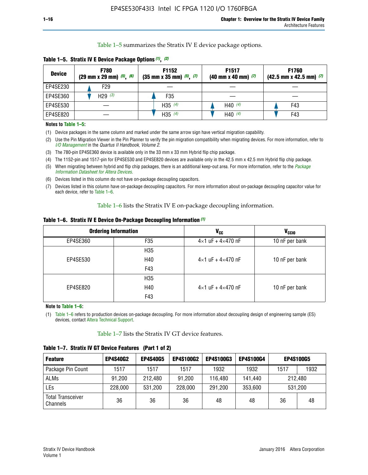Table 1–5 summarizes the Stratix IV E device package options.

| <b>Device</b> | <b>F780</b><br>$(29 \text{ mm} \times 29 \text{ mm})$ $(5)$ , $(6)$ | F1152<br>$(35 \text{ mm} \times 35 \text{ mm})$ $(5)$ $(7)$ | F <sub>1517</sub><br>$(40 \text{ mm} \times 40 \text{ mm})$ (7) | <b>F1760</b><br>$(42.5$ mm x 42.5 mm) $(7)$ |
|---------------|---------------------------------------------------------------------|-------------------------------------------------------------|-----------------------------------------------------------------|---------------------------------------------|
| EP4SE230      | F <sub>29</sub>                                                     |                                                             |                                                                 |                                             |
| EP4SE360      | H29 $(3)$                                                           | F35                                                         |                                                                 |                                             |
| EP4SE530      |                                                                     | H35 $(4)$                                                   | H40 $(4)$                                                       | F43                                         |
| EP4SE820      |                                                                     | H35 $(4)$                                                   | H40 $(4)$                                                       | F43                                         |

**Table 1–5. Stratix IV E Device Package Options** *(1)***,** *(2)*

#### **Notes to Table 1–5:**

(1) Device packages in the same column and marked under the same arrow sign have vertical migration capability.

(2) Use the Pin Migration Viewer in the Pin Planner to verify the pin migration compatibility when migrating devices. For more information, refer to *[I/O Management](http://www.altera.com/literature/hb/qts/qts_qii52013.pdf)* in the *Quartus II Handbook, Volume 2*.

(3) The 780-pin EP4SE360 device is available only in the 33 mm x 33 mm Hybrid flip chip package.

(4) The 1152-pin and 1517-pin for EP4SE530 and EP4SE820 devices are available only in the 42.5 mm x 42.5 mm Hybrid flip chip package.

(5) When migrating between hybrid and flip chip packages, there is an additional keep-out area. For more information, refer to the *[Package](http://www.altera.com/literature/ds/dspkg.pdf)  [Information Datasheet for Altera Devices](http://www.altera.com/literature/ds/dspkg.pdf)*.

(6) Devices listed in this column do not have on-package decoupling capacitors.

(7) Devices listed in this column have on-package decoupling capacitors. For more information about on-package decoupling capacitor value for each device, refer to Table 1–6.

Table 1–6 lists the Stratix IV E on-package decoupling information.

| Table 1–6. Stratix IV E Device On-Package Decoupling Information (1) |  |  |  |  |
|----------------------------------------------------------------------|--|--|--|--|
|----------------------------------------------------------------------|--|--|--|--|

|          | <b>Ordering Information</b> | <b>V<sub>cc</sub></b>               | <b>V<sub>CCIO</sub></b> |
|----------|-----------------------------|-------------------------------------|-------------------------|
| EP4SE360 | F35                         | $4 \times 1$ uF + $4 \times 470$ nF | 10 nF per bank          |
|          | H <sub>35</sub>             |                                     |                         |
| EP4SE530 | H40                         | $4 \times 1$ uF + $4 \times 470$ nF | 10 nF per bank          |
|          | F43                         |                                     |                         |
|          | H <sub>35</sub>             |                                     |                         |
| EP4SE820 | H40                         | $4 \times 1$ uF + $4 \times 470$ nF | 10 nF per bank          |
|          | F43                         |                                     |                         |

**Note to Table 1–6:**

(1) Table 1–6 refers to production devices on-package decoupling. For more information about decoupling design of engineering sample (ES) devices, contact [Altera Technical Support](http://mysupport.altera.com/eservice/login.asp).

Table 1–7 lists the Stratix IV GT device features.

| <b>Feature</b>                       | <b>EP4S40G2</b> | <b>EP4S40G5</b> | <b>EP4S100G2</b> | <b>EP4S100G3</b> | <b>EP4S100G4</b> |      | <b>EP4S100G5</b> |
|--------------------------------------|-----------------|-----------------|------------------|------------------|------------------|------|------------------|
| Package Pin Count                    | 1517            | 1517            | 1517             | 1932             | 1932             | 1517 | 1932             |
| <b>ALMs</b>                          | 91,200          | 212,480         | 91,200           | 116,480          | 141,440          |      | 212.480          |
| LEs                                  | 228,000         | 531,200         | 228,000          | 291,200          | 353,600          |      | 531,200          |
| <b>Total Transceiver</b><br>Channels | 36              | 36              | 36               | 48               | 48               | 36   | 48               |

**Table 1–7. Stratix IV GT Device Features (Part 1 of 2)**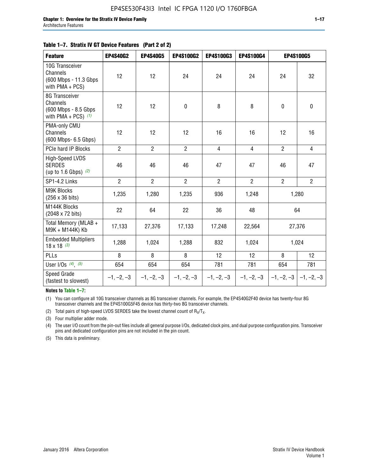|  | Table 1–7. Stratix IV GT Device Features (Part 2 of 2) |  |
|--|--------------------------------------------------------|--|
|--|--------------------------------------------------------|--|

| <b>Feature</b>                                                               | <b>EP4S40G2</b> | <b>EP4S40G5</b> | <b>EP4S100G2</b> | <b>EP4S100G3</b> | <b>EP4S100G4</b> |                           | <b>EP4S100G5</b> |
|------------------------------------------------------------------------------|-----------------|-----------------|------------------|------------------|------------------|---------------------------|------------------|
| 10G Transceiver<br>Channels<br>(600 Mbps - 11.3 Gbps)<br>with $PMA + PCS$ )  | 12              | 12              | 24               | 24               | 24               | 24                        | 32               |
| 8G Transceiver<br>Channels<br>(600 Mbps - 8.5 Gbps)<br>with PMA + PCS) $(1)$ | 12              | 12              | 0                | 8                | 8                | $\pmb{0}$                 | 0                |
| PMA-only CMU<br>Channels<br>(600 Mbps- 6.5 Gbps)                             | 12              | 12              | 12               | 16               | 16               | 12                        | 16               |
| PCIe hard IP Blocks                                                          | $\overline{2}$  | $\overline{2}$  | $\overline{2}$   | $\overline{4}$   | $\overline{4}$   | $\overline{2}$            | $\overline{4}$   |
| <b>High-Speed LVDS</b><br><b>SERDES</b><br>(up to 1.6 Gbps) $(2)$            | 46              | 46              | 46               | 47               | 47               | 46                        | 47               |
| SP1-4.2 Links                                                                | $\overline{2}$  | $\overline{2}$  | $\overline{2}$   | $\overline{2}$   | $\overline{2}$   | $\overline{2}$            | $\overline{2}$   |
| <b>M9K Blocks</b><br>(256 x 36 bits)                                         | 1,235           | 1,280           | 1,235            | 936              | 1,248            |                           | 1,280            |
| M144K Blocks<br>(2048 x 72 bits)                                             | 22              | 64              | 22               | 36               | 48               |                           | 64               |
| Total Memory (MLAB +<br>M9K + M144K) Kb                                      | 17,133          | 27,376          | 17,133           | 17,248           | 22,564           |                           | 27,376           |
| <b>Embedded Multipliers</b><br>$18 \times 18^{(3)}$                          | 1,288           | 1,024           | 1,288            | 832              | 1,024            |                           | 1,024            |
| PLLs                                                                         | 8               | 8               | 8                | 12               | 12               | 8                         | 12               |
| User I/Os $(4)$ , $(5)$                                                      | 654             | 654             | 654              | 781              | 781              | 654                       | 781              |
| Speed Grade<br>(fastest to slowest)                                          | $-1, -2, -3$    | $-1, -2, -3$    | $-1, -2, -3$     | $-1, -2, -3$     | $-1, -2, -3$     | $ -1, -2, -3  -1, -2, -3$ |                  |

**Notes to Table 1–7:**

(1) You can configure all 10G transceiver channels as 8G transceiver channels. For example, the EP4S40G2F40 device has twenty-four 8G transceiver channels and the EP4S100G5F45 device has thirty-two 8G transceiver channels.

(2) Total pairs of high-speed LVDS SERDES take the lowest channel count of  $R_X/T_X$ .

(3) Four multiplier adder mode.

(4) The user I/O count from the pin-out files include all general purpose I/Os, dedicated clock pins, and dual purpose configuration pins. Transceiver pins and dedicated configuration pins are not included in the pin count.

(5) This data is preliminary.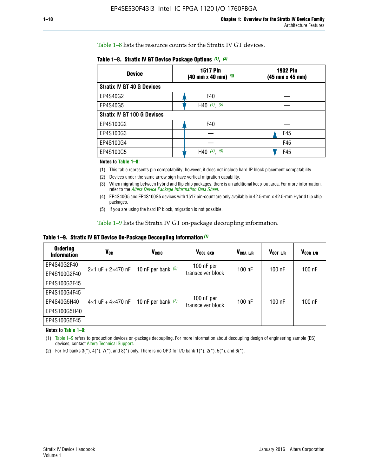Table 1–8 lists the resource counts for the Stratix IV GT devices.

| <b>Device</b>                      | <b>1517 Pin</b><br>$(40 \text{ mm} \times 40 \text{ mm})$ $(3)$ | <b>1932 Pin</b><br>(45 mm x 45 mm) |  |
|------------------------------------|-----------------------------------------------------------------|------------------------------------|--|
| <b>Stratix IV GT 40 G Devices</b>  |                                                                 |                                    |  |
| EP4S40G2                           | F40                                                             |                                    |  |
| EP4S40G5                           | H40 $(4)$ , $(5)$                                               |                                    |  |
| <b>Stratix IV GT 100 G Devices</b> |                                                                 |                                    |  |
| EP4S100G2                          | F40                                                             |                                    |  |
| EP4S100G3                          |                                                                 | F45                                |  |
| EP4S100G4                          |                                                                 | F45                                |  |
| EP4S100G5                          | $(4)$ $(5)$<br>H40                                              | F45                                |  |

#### **Notes to Table 1–8:**

(1) This table represents pin compatability; however, it does not include hard IP block placement compatability.

- (2) Devices under the same arrow sign have vertical migration capability.
- (3) When migrating between hybrid and flip chip packages, there is an additional keep-out area. For more information, refer to the *[Altera Device Package Information Data Sheet](http://www.altera.com/literature/ds/dspkg.pdf)*.
- (4) EP4S40G5 and EP4S100G5 devices with 1517 pin-count are only available in 42.5-mm x 42.5-mm Hybrid flip chip packages.
- (5) If you are using the hard IP block, migration is not possible.

Table 1–9 lists the Stratix IV GT on-package decoupling information.

**Table 1–9. Stratix IV GT Device On-Package Decoupling Information** *(1)*

| <b>Ordering</b><br><b>Information</b> | Vcc                                 | <b>V<sub>CCIO</sub></b> | V <sub>CCL GXB</sub>            | V <sub>CCA L/R</sub> | V <sub>CCT L/R</sub> | $V_{CCR\_L/R}$ |
|---------------------------------------|-------------------------------------|-------------------------|---------------------------------|----------------------|----------------------|----------------|
| EP4S40G2F40                           | $2 \times 1$ uF + $2 \times 470$ nF | 10 nF per bank $(2)$    | 100 nF per<br>transceiver block | $100$ nF             | $100$ nF             | $100$ nF       |
| EP4S100G2F40                          |                                     |                         |                                 |                      |                      |                |
| EP4S100G3F45                          |                                     | 10 nF per bank $(2)$    | 100 nF per<br>transceiver block | $100$ nF             | $100$ nF             | $100$ nF       |
| EP4S100G4F45                          |                                     |                         |                                 |                      |                      |                |
| EP4S40G5H40                           | $4\times1$ uF + $4\times470$ nF     |                         |                                 |                      |                      |                |
| EP4S100G5H40                          |                                     |                         |                                 |                      |                      |                |
| EP4S100G5F45                          |                                     |                         |                                 |                      |                      |                |

**Notes to Table 1–9:**

(1) Table 1–9 refers to production devices on-package decoupling. For more information about decoupling design of engineering sample (ES) devices, contact [Altera Technical Support](http://mysupport.altera.com/eservice/login.asp).

(2) For I/O banks  $3(*)$ ,  $4(*)$ ,  $7(*)$ , and  $8(*)$  only. There is no OPD for I/O bank  $1(*)$ ,  $2(*)$ ,  $5(*)$ , and  $6(*)$ .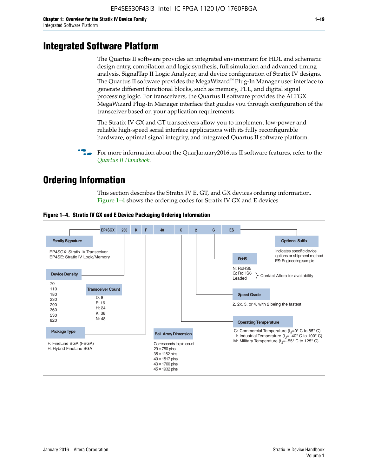# **Integrated Software Platform**

The Quartus II software provides an integrated environment for HDL and schematic design entry, compilation and logic synthesis, full simulation and advanced timing analysis, SignalTap II Logic Analyzer, and device configuration of Stratix IV designs. The Quartus II software provides the MegaWizard<sup> $M$ </sup> Plug-In Manager user interface to generate different functional blocks, such as memory, PLL, and digital signal processing logic. For transceivers, the Quartus II software provides the ALTGX MegaWizard Plug-In Manager interface that guides you through configuration of the transceiver based on your application requirements.

The Stratix IV GX and GT transceivers allow you to implement low-power and reliable high-speed serial interface applications with its fully reconfigurable hardware, optimal signal integrity, and integrated Quartus II software platform.

For more information about the QuarJanuary2016tus II software features, refer to the *[Quartus II Handbook](http://www.altera.com/literature/lit-qts.jsp)*.

# **Ordering Information**

This section describes the Stratix IV E, GT, and GX devices ordering information. Figure 1–4 shows the ordering codes for Stratix IV GX and E devices.



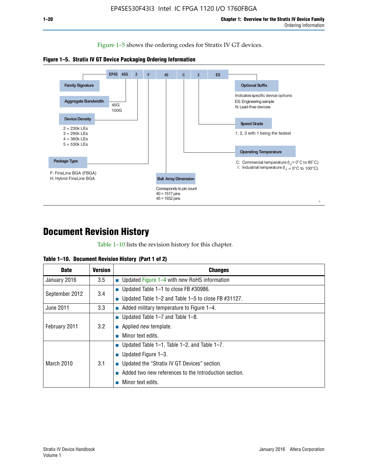Figure 1–5 shows the ordering codes for Stratix IV GT devices.





# **Document Revision History**

Table 1–10 lists the revision history for this chapter.

|  | Table 1–10. Document Revision History (Part 1 of 2) |  |  |
|--|-----------------------------------------------------|--|--|
|--|-----------------------------------------------------|--|--|

| <b>Date</b>       | <b>Version</b> | <b>Changes</b>                                              |
|-------------------|----------------|-------------------------------------------------------------|
| January 2016      | 3.5            | ■ Updated Figure 1–4 with new RoHS information              |
| September 2012    | 3.4            | ■ Updated Table 1–1 to close FB $#30986$ .                  |
|                   |                | Updated Table $1-2$ and Table $1-5$ to close FB $\#31127$ . |
| June 2011         | 3.3            | $\blacksquare$ Added military temperature to Figure 1–4.    |
| February 2011     | 3.2            | ■ Updated Table 1–7 and Table 1–8.                          |
|                   |                | $\blacksquare$ Applied new template.                        |
|                   |                | Minor text edits.                                           |
| <b>March 2010</b> | 3.1            | <b>Updated Table 1–1, Table 1–2, and Table 1–7.</b>         |
|                   |                | <b>U</b> Updated Figure 1–3.                                |
|                   |                | ■ Updated the "Stratix IV GT Devices" section.              |
|                   |                | Added two new references to the Introduction section.       |
|                   |                | Minor text edits.                                           |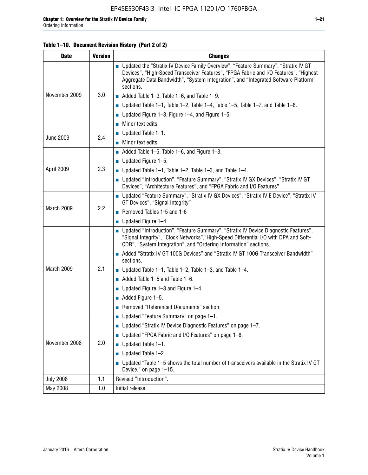#### **Table 1–10. Document Revision History (Part 2 of 2)**

| <b>Date</b>      | <b>Version</b> | <b>Changes</b>                                                                                                                                                                                                                                                                    |  |
|------------------|----------------|-----------------------------------------------------------------------------------------------------------------------------------------------------------------------------------------------------------------------------------------------------------------------------------|--|
|                  | 3.0            | ■ Updated the "Stratix IV Device Family Overview", "Feature Summary", "Stratix IV GT<br>Devices", "High-Speed Transceiver Features", "FPGA Fabric and I/O Features", "Highest<br>Aggregate Data Bandwidth", "System Integration", and "Integrated Software Platform"<br>sections. |  |
| November 2009    |                | $\blacksquare$ Added Table 1-3, Table 1-6, and Table 1-9.                                                                                                                                                                                                                         |  |
|                  |                | $\blacksquare$ Updated Table 1-1, Table 1-2, Table 1-4, Table 1-5, Table 1-7, and Table 1-8.                                                                                                                                                                                      |  |
|                  |                | ■ Updated Figure 1–3, Figure 1–4, and Figure 1–5.                                                                                                                                                                                                                                 |  |
|                  |                | $\blacksquare$ Minor text edits.                                                                                                                                                                                                                                                  |  |
|                  | 2.4            | $\blacksquare$ Updated Table 1-1.                                                                                                                                                                                                                                                 |  |
| <b>June 2009</b> |                | $\blacksquare$ Minor text edits.                                                                                                                                                                                                                                                  |  |
|                  |                | $\blacksquare$ Added Table 1-5, Table 1-6, and Figure 1-3.                                                                                                                                                                                                                        |  |
|                  |                | $\blacksquare$ Updated Figure 1-5.                                                                                                                                                                                                                                                |  |
| April 2009       | 2.3            | ■ Updated Table 1–1, Table 1–2, Table 1–3, and Table 1–4.                                                                                                                                                                                                                         |  |
|                  |                | ■ Updated "Introduction", "Feature Summary", "Stratix IV GX Devices", "Stratix IV GT<br>Devices", "Architecture Features", and "FPGA Fabric and I/O Features"                                                                                                                     |  |
|                  | 2.2            | ■ Updated "Feature Summary", "Stratix IV GX Devices", "Stratix IV E Device", "Stratix IV<br>GT Devices", "Signal Integrity"                                                                                                                                                       |  |
| March 2009       |                | Removed Tables 1-5 and 1-6                                                                                                                                                                                                                                                        |  |
|                  |                | $\blacksquare$ Updated Figure 1-4                                                                                                                                                                                                                                                 |  |
|                  |                | ■ Updated "Introduction", "Feature Summary", "Stratix IV Device Diagnostic Features",<br>"Signal Integrity", "Clock Networks", "High-Speed Differential I/O with DPA and Soft-<br>CDR", "System Integration", and "Ordering Information" sections.                                |  |
|                  |                | ■ Added "Stratix IV GT 100G Devices" and "Stratix IV GT 100G Transceiver Bandwidth"<br>sections.                                                                                                                                                                                  |  |
| March 2009       | 2.1            | ■ Updated Table 1–1, Table 1–2, Table 1–3, and Table 1–4.                                                                                                                                                                                                                         |  |
|                  |                | $\blacksquare$ Added Table 1–5 and Table 1–6.                                                                                                                                                                                                                                     |  |
|                  |                | ■ Updated Figure $1-3$ and Figure $1-4$ .                                                                                                                                                                                                                                         |  |
|                  |                | $\blacksquare$ Added Figure 1-5.                                                                                                                                                                                                                                                  |  |
|                  |                | Removed "Referenced Documents" section.                                                                                                                                                                                                                                           |  |
|                  | 2.0            | Updated "Feature Summary" on page 1-1.                                                                                                                                                                                                                                            |  |
| November 2008    |                | ■ Updated "Stratix IV Device Diagnostic Features" on page $1-7$ .                                                                                                                                                                                                                 |  |
|                  |                | Updated "FPGA Fabric and I/O Features" on page 1-8.                                                                                                                                                                                                                               |  |
|                  |                | Updated Table 1-1.                                                                                                                                                                                                                                                                |  |
|                  |                | Updated Table 1-2.                                                                                                                                                                                                                                                                |  |
|                  |                | Updated "Table 1-5 shows the total number of transceivers available in the Stratix IV GT<br>Device." on page 1-15.                                                                                                                                                                |  |
| <b>July 2008</b> | 1.1            | Revised "Introduction".                                                                                                                                                                                                                                                           |  |
| May 2008         | 1.0            | Initial release.                                                                                                                                                                                                                                                                  |  |